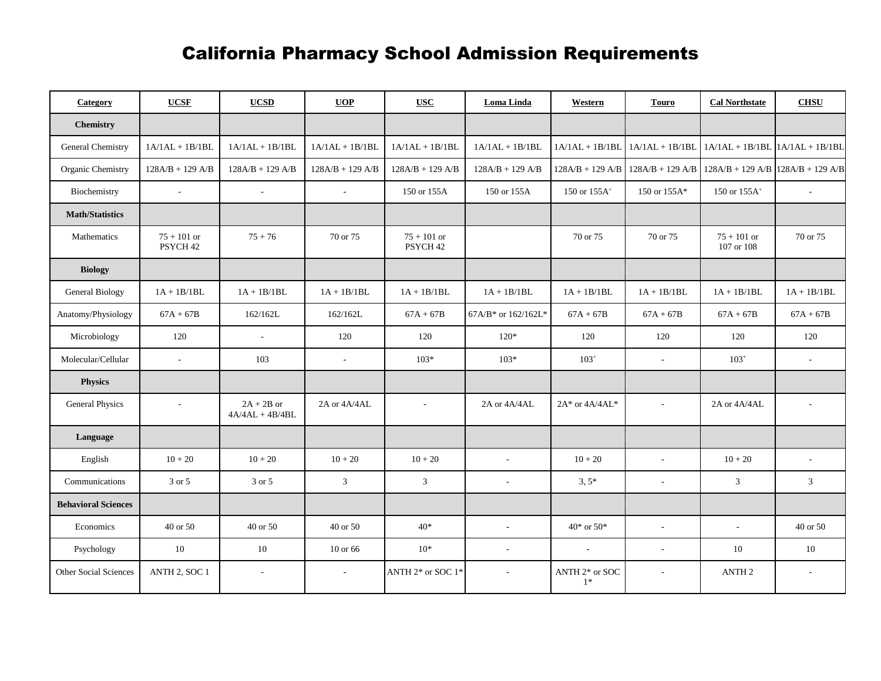## California Pharmacy School Admission Requirements

| Category                     | <b>UCSF</b>                          | <b>UCSD</b>                       | <b>UOP</b>        | <b>USC</b>                           | Loma Linda               | Western                | <b>Touro</b>             | <b>Cal Northstate</b>               | <b>CHSU</b>              |
|------------------------------|--------------------------------------|-----------------------------------|-------------------|--------------------------------------|--------------------------|------------------------|--------------------------|-------------------------------------|--------------------------|
| <b>Chemistry</b>             |                                      |                                   |                   |                                      |                          |                        |                          |                                     |                          |
| General Chemistry            | $1A/1AL + 1B/1BL$                    | $1A/1AL + 1B/1BL$                 | $1A/1AL + 1B/1BL$ | $1A/1AL + 1B/1BL$                    | $1A/1AL + 1B/1BL$        | $1A/1AL + 1B/1BL$      | $1A/1AL + 1B/1BL$        | $1A/1AL + 1B/1BL$                   | $1A/1AL + 1B/1BL$        |
| Organic Chemistry            | $128A/B + 129A/B$                    | $128A/B + 129A/B$                 | $128A/B + 129A/B$ | $128A/B + 129A/B$                    | $128A/B + 129A/B$        | $128A/B + 129A/B$      | $128A/B + 129A/B$        | $128A/B + 129A/B$ $128A/B + 129A/B$ |                          |
| Biochemistry                 | $\sim$                               | $\mathcal{L}_{\mathcal{A}}$       | $\sim$            | 150 or 155A                          | 150 or 155A              | 150 or $155A^{+}$      | 150 or 155A*             | 150 or 155A <sup>+</sup>            |                          |
| <b>Math/Statistics</b>       |                                      |                                   |                   |                                      |                          |                        |                          |                                     |                          |
| Mathematics                  | $75 + 101$ or<br>PSYCH <sub>42</sub> | $75 + 76$                         | 70 or 75          | $75 + 101$ or<br>PSYCH <sub>42</sub> |                          | 70 or 75               | 70 or 75                 | $75 + 101$ or<br>107 or 108         | 70 or 75                 |
| <b>Biology</b>               |                                      |                                   |                   |                                      |                          |                        |                          |                                     |                          |
| General Biology              | $1A + 1B/1BL$                        | $1A + 1B/1BL$                     | $1A + 1B/1BL$     | $1A + 1B/1BL$                        | $1A + 1B/1BL$            | $1A + 1B/1BL$          | $1A + 1B/1BL$            | $1A + 1B/1BL$                       | $1A + 1B/1BL$            |
| Anatomy/Physiology           | $67A + 67B$                          | 162/162L                          | 162/162L          | $67A + 67B$                          | 67A/B* or 162/162L*      | $67A + 67B$            | $67A + 67B$              | $67A + 67B$                         | $67A + 67B$              |
| Microbiology                 | 120                                  | $\overline{\phantom{a}}$          | 120               | 120                                  | $120*$                   | 120                    | 120                      | 120                                 | 120                      |
| Molecular/Cellular           | $\sim$                               | 103                               | $\sim$            | $103*$                               | $103*$                   | $103+$                 | $\overline{\phantom{a}}$ | $103+$                              | $\overline{a}$           |
| <b>Physics</b>               |                                      |                                   |                   |                                      |                          |                        |                          |                                     |                          |
| General Physics              | $\overline{\phantom{a}}$             | $2A + 2B$ or<br>$4A/4AL + 4B/4BL$ | 2A or 4A/4AL      | $\sim$                               | 2A or 4A/4AL             | $2A^*$ or $4A/4AL^*$   | $\overline{\phantom{a}}$ | 2A or 4A/4AL                        | $\sim$                   |
| Language                     |                                      |                                   |                   |                                      |                          |                        |                          |                                     |                          |
| English                      | $10 + 20$                            | $10 + 20$                         | $10 + 20$         | $10 + 20$                            | $\mathcal{L}$            | $10 + 20$              | $\mathbf{r}$             | $10 + 20$                           | $\sim$                   |
| Communications               | 3 or 5                               | 3 or 5                            | 3 <sup>1</sup>    | 3                                    | $\overline{\phantom{a}}$ | $3,5*$                 | $\overline{\phantom{a}}$ | $\mathfrak{Z}$                      | $\mathfrak{Z}$           |
| <b>Behavioral Sciences</b>   |                                      |                                   |                   |                                      |                          |                        |                          |                                     |                          |
| Economics                    | 40 or 50                             | 40 or 50                          | 40 or 50          | $40*$                                | $\omega$                 | $40*$ or $50*$         | $\sim$                   | $\sim$                              | 40 or 50                 |
| Psychology                   | 10                                   | 10                                | 10 or 66          | $10*$                                | $\overline{\phantom{a}}$ | $\sim$                 | $\sim$                   | 10                                  | 10                       |
| <b>Other Social Sciences</b> | ANTH 2, SOC 1                        | $\overline{\phantom{a}}$          | $\sim$            | ANTH 2* or SOC 1*                    | $\sim$                   | ANTH 2* or SOC<br>$1*$ | $\overline{\phantom{a}}$ | ANTH <sub>2</sub>                   | $\overline{\phantom{a}}$ |